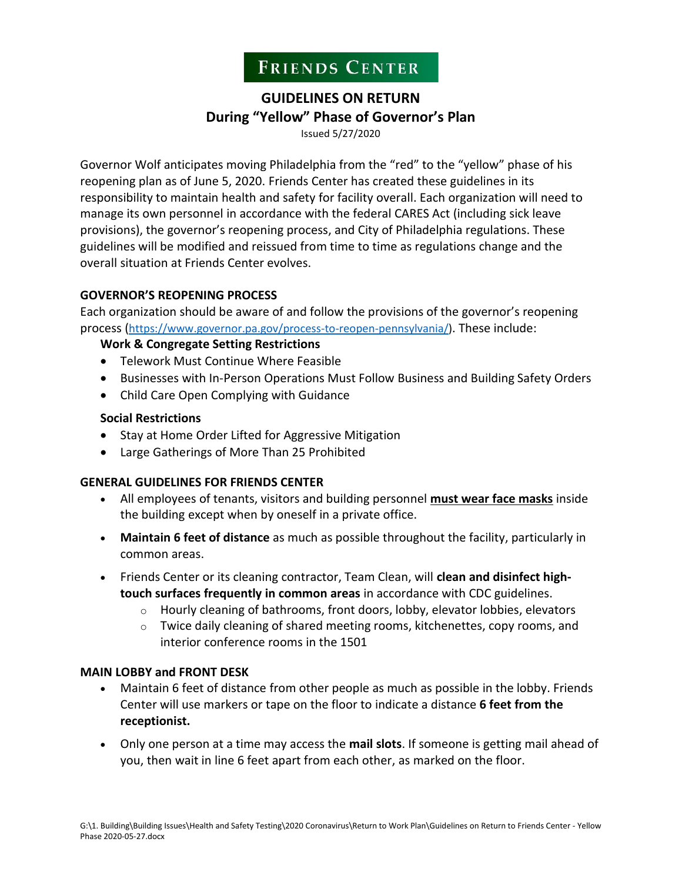# **FRIENDS CENTER**

## **GUIDELINES ON RETURN During "Yellow" Phase of Governor's Plan**

Issued 5/27/2020

Governor Wolf anticipates moving Philadelphia from the "red" to the "yellow" phase of his reopening plan as of June 5, 2020. Friends Center has created these guidelines in its responsibility to maintain health and safety for facility overall. Each organization will need to manage its own personnel in accordance with the federal CARES Act (including sick leave provisions), the governor's reopening process, and City of Philadelphia regulations. These guidelines will be modified and reissued from time to time as regulations change and the overall situation at Friends Center evolves.

#### **GOVERNOR'S REOPENING PROCESS**

Each organization should be aware of and follow the provisions of the governor's reopening process ([https://www.governor.pa.gov/process-to-reopen-pennsylvania/\)](https://www.governor.pa.gov/process-to-reopen-pennsylvania/). These include:

#### **Work & Congregate Setting Restrictions**

- Telework Must Continue Where Feasible
- Businesses with In-Person Operations Must Follow Business and Building Safety Orders
- Child Care Open Complying with Guidance

#### **Social Restrictions**

- Stay at Home Order Lifted for Aggressive Mitigation
- Large Gatherings of More Than 25 Prohibited

#### **GENERAL GUIDELINES FOR FRIENDS CENTER**

- All employees of tenants, visitors and building personnel **must wear face masks** inside the building except when by oneself in a private office.
- **Maintain 6 feet of distance** as much as possible throughout the facility, particularly in common areas.
- Friends Center or its cleaning contractor, Team Clean, will **clean and disinfect hightouch surfaces frequently in common areas** in accordance with CDC guidelines.
	- o Hourly cleaning of bathrooms, front doors, lobby, elevator lobbies, elevators
	- $\circ$  Twice daily cleaning of shared meeting rooms, kitchenettes, copy rooms, and interior conference rooms in the 1501

#### **MAIN LOBBY and FRONT DESK**

- Maintain 6 feet of distance from other people as much as possible in the lobby. Friends Center will use markers or tape on the floor to indicate a distance **6 feet from the receptionist.**
- Only one person at a time may access the **mail slots**. If someone is getting mail ahead of you, then wait in line 6 feet apart from each other, as marked on the floor.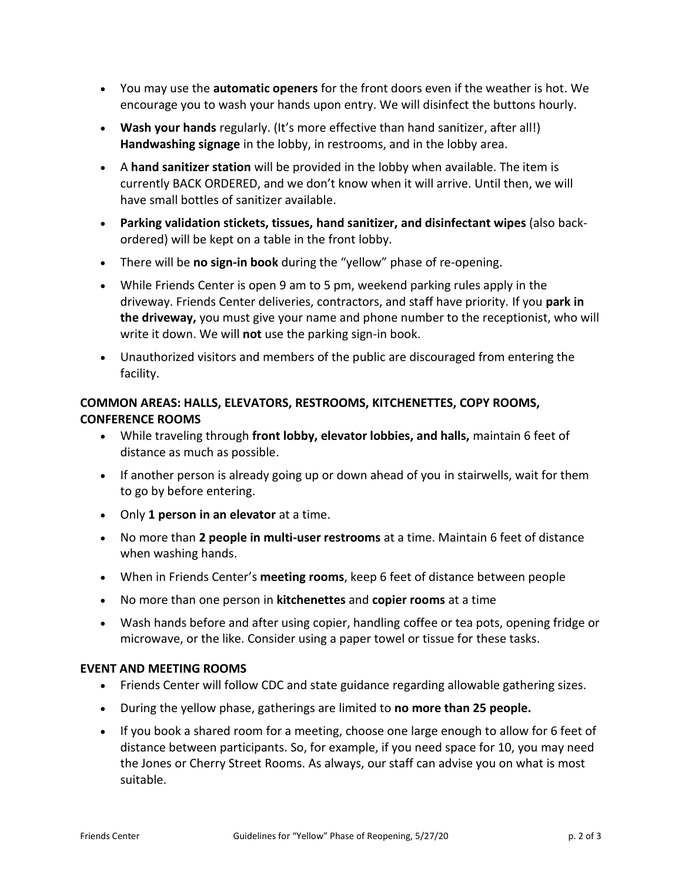- You may use the **automatic openers** for the front doors even if the weather is hot. We encourage you to wash your hands upon entry. We will disinfect the buttons hourly.
- **Wash your hands** regularly. (It's more effective than hand sanitizer, after all!) **Handwashing signage** in the lobby, in restrooms, and in the lobby area.
- A **hand sanitizer station** will be provided in the lobby when available. The item is currently BACK ORDERED, and we don't know when it will arrive. Until then, we will have small bottles of sanitizer available.
- **Parking validation stickets, tissues, hand sanitizer, and disinfectant wipes** (also backordered) will be kept on a table in the front lobby.
- There will be **no sign-in book** during the "yellow" phase of re-opening.
- While Friends Center is open 9 am to 5 pm, weekend parking rules apply in the driveway. Friends Center deliveries, contractors, and staff have priority. If you **park in the driveway,** you must give your name and phone number to the receptionist, who will write it down. We will **not** use the parking sign-in book.
- Unauthorized visitors and members of the public are discouraged from entering the facility.

### **COMMON AREAS: HALLS, ELEVATORS, RESTROOMS, KITCHENETTES, COPY ROOMS, CONFERENCE ROOMS**

- While traveling through **front lobby, elevator lobbies, and halls,** maintain 6 feet of distance as much as possible.
- If another person is already going up or down ahead of you in stairwells, wait for them to go by before entering.
- Only **1 person in an elevator** at a time.
- No more than **2 people in multi-user restrooms** at a time. Maintain 6 feet of distance when washing hands.
- When in Friends Center's **meeting rooms**, keep 6 feet of distance between people
- No more than one person in **kitchenettes** and **copier rooms** at a time
- Wash hands before and after using copier, handling coffee or tea pots, opening fridge or microwave, or the like. Consider using a paper towel or tissue for these tasks.

#### **EVENT AND MEETING ROOMS**

- Friends Center will follow CDC and state guidance regarding allowable gathering sizes.
- During the yellow phase, gatherings are limited to **no more than 25 people.**
- If you book a shared room for a meeting, choose one large enough to allow for 6 feet of distance between participants. So, for example, if you need space for 10, you may need the Jones or Cherry Street Rooms. As always, our staff can advise you on what is most suitable.